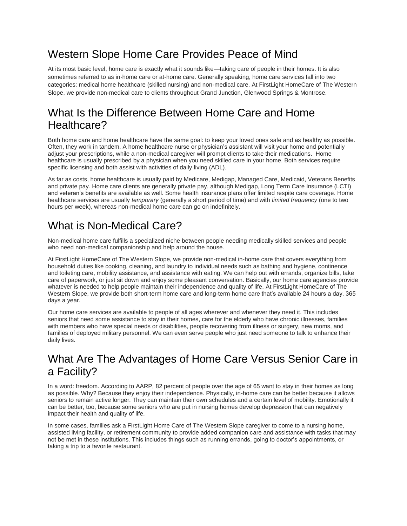# Western Slope Home Care Provides Peace of Mind

At its most basic level, home care is exactly what it sounds like—taking care of people in their homes. It is also sometimes referred to as in-home care or at-home care. Generally speaking, home care services fall into two categories: medical home healthcare (skilled nursing) and non-medical care. At FirstLight HomeCare of The Western Slope, we provide non-medical care to clients throughout Grand Junction, Glenwood Springs & Montrose.

### What Is the Difference Between Home Care and Home Healthcare?

Both home care and home healthcare have the same goal: to keep your loved ones safe and as healthy as possible. Often, they work in tandem. A home healthcare nurse or physician's assistant will visit your home and potentially adjust your prescriptions, while a non-medical caregiver will prompt clients to take their medications. Home healthcare is usually prescribed by a physician when you need skilled care in your home. Both services require specific licensing and both assist with activities of daily living (ADL).

As far as costs, home healthcare is usually paid by Medicare, Medigap, Managed Care, Medicaid, Veterans Benefits and private pay. Home care clients are generally private pay, although Medigap, Long Term Care Insurance (LCTI) and veteran's benefits are available as well. Some health insurance plans offer limited respite care coverage. Home healthcare services are usually *temporary* (generally a short period of time) and with *limited frequency* (one to two hours per week), whereas non-medical home care can go on indefinitely.

## What is Non-Medical Care?

Non-medical home care fulfills a specialized niche between people needing medically skilled services and people who need non-medical companionship and help around the house.

At FirstLight HomeCare of The Western Slope, we provide non-medical in-home care that covers everything from household duties like cooking, cleaning, and laundry to individual needs such as bathing and hygiene, continence and toileting care, mobility assistance, and assistance with eating. We can help out with errands, organize bills, take care of paperwork, or just sit down and enjoy some pleasant conversation. Basically, our home care agencies provide whatever is needed to help people maintain their independence and quality of life. At FirstLight HomeCare of The Western Slope, we provide both short-term home care and long-term home care that's available 24 hours a day, 365 days a year.

Our home care services are available to people of all ages wherever and whenever they need it. This includes seniors that need some assistance to stay in their homes, care for the elderly who have chronic illnesses, families with members who have special needs or disabilities, people recovering from illness or surgery, new moms, and families of deployed military personnel. We can even serve people who just need someone to talk to enhance their daily lives.

# What Are The Advantages of Home Care Versus Senior Care in a Facility?

In a word: freedom. According to AARP, 82 percent of people over the age of 65 want to stay in their homes as long as possible. Why? Because they enjoy their independence. Physically, in-home care can be better because it allows seniors to remain active longer. They can maintain their own schedules and a certain level of mobility. Emotionally it can be better, too, because some seniors who are put in nursing homes develop depression that can negatively impact their health and quality of life.

In some cases, families ask a FirstLight Home Care of The Western Slope caregiver to come to a nursing home, assisted living facility, or retirement community to provide added companion care and assistance with tasks that may not be met in these institutions. This includes things such as running errands, going to doctor's appointments, or taking a trip to a favorite restaurant.